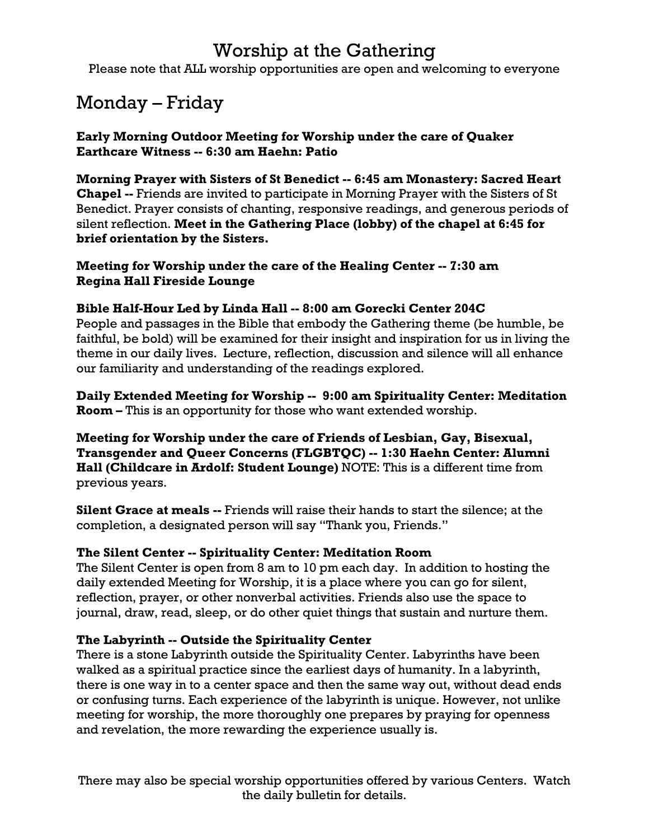## Worship at the Gathering

Please note that ALL worship opportunities are open and welcoming to everyone

# Monday – Friday

**Early Morning Outdoor Meeting for Worship under the care of Quaker Earthcare Witness -- 6:30 am Haehn: Patio**

**Morning Prayer with Sisters of St Benedict -- 6:45 am Monastery: Sacred Heart Chapel --** Friends are invited to participate in Morning Prayer with the Sisters of St Benedict. Prayer consists of chanting, responsive readings, and generous periods of silent reflection. **Meet in the Gathering Place (lobby) of the chapel at 6:45 for brief orientation by the Sisters.**

**Meeting for Worship under the care of the Healing Center -- 7:30 am Regina Hall Fireside Lounge**

#### **Bible Half-Hour Led by Linda Hall -- 8:00 am Gorecki Center 204C**

People and passages in the Bible that embody the Gathering theme (be humble, be faithful, be bold) will be examined for their insight and inspiration for us in living the theme in our daily lives. Lecture, reflection, discussion and silence will all enhance our familiarity and understanding of the readings explored.

**Daily Extended Meeting for Worship -- 9:00 am Spirituality Center: Meditation Room –** This is an opportunity for those who want extended worship.

**Meeting for Worship under the care of Friends of Lesbian, Gay, Bisexual, Transgender and Queer Concerns (FLGBTQC) -- 1:30 Haehn Center: Alumni Hall (Childcare in Ardolf: Student Lounge)** NOTE: This is a different time from previous years.

**Silent Grace at meals --** Friends will raise their hands to start the silence; at the completion, a designated person will say "Thank you, Friends."

#### **The Silent Center -- Spirituality Center: Meditation Room**

The Silent Center is open from 8 am to 10 pm each day. In addition to hosting the daily extended Meeting for Worship, it is a place where you can go for silent, reflection, prayer, or other nonverbal activities. Friends also use the space to journal, draw, read, sleep, or do other quiet things that sustain and nurture them.

#### **The Labyrinth -- Outside the Spirituality Center**

There is a stone Labyrinth outside the Spirituality Center. Labyrinths have been walked as a spiritual practice since the earliest days of humanity. In a labyrinth, there is one way in to a center space and then the same way out, without dead ends or confusing turns. Each experience of the labyrinth is unique. However, not unlike meeting for worship, the more thoroughly one prepares by praying for openness and revelation, the more rewarding the experience usually is.

There may also be special worship opportunities offered by various Centers. Watch the daily bulletin for details.